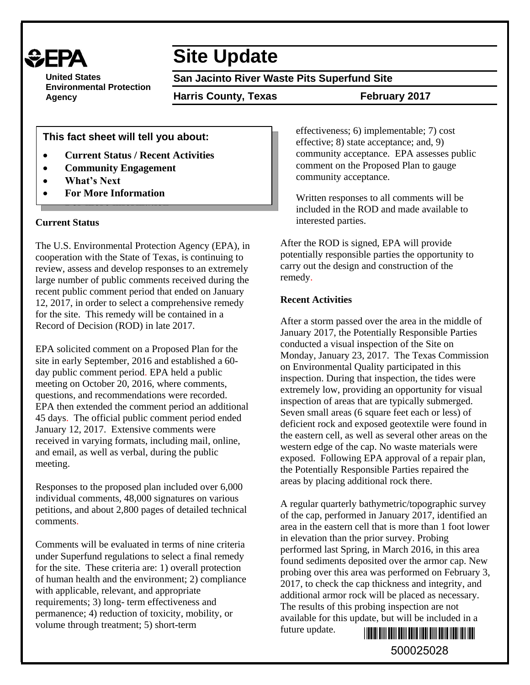

**United States Environmental Protection Agency**

# **Site Update**

**San Jacinto River Waste Pits Superfund Site**

**Harris County, Texas February 2017**

**This fact sheet will tell you about:**

- **Current Status / Recent Activities**
- **Community Engagement**
- **What's Next**
- **For More Information**

# **Current Status**

The U.S. Environmental Protection Agency (EPA), in cooperation with the State of Texas, is continuing to review, assess and develop responses to an extremely large number of public comments received during the recent public comment period that ended on January 12, 2017, in order to select a comprehensive remedy for the site. This remedy will be contained in a Record of Decision (ROD) in late 2017.

EPA solicited comment on a Proposed Plan for the site in early September, 2016 and established a 60 day public comment period. EPA held a public meeting on October 20, 2016, where comments, questions, and recommendations were recorded. EPA then extended the comment period an additional 45 days. The official public comment period ended January 12, 2017. Extensive comments were received in varying formats, including mail, online, and email, as well as verbal, during the public meeting.

Responses to the proposed plan included over 6,000 individual comments, 48,000 signatures on various petitions, and about 2,800 pages of detailed technical comments.

Comments will be evaluated in terms of nine criteria under Superfund regulations to select a final remedy for the site. These criteria are: 1) overall protection of human health and the environment; 2) compliance with applicable, relevant, and appropriate requirements; 3) long- term effectiveness and permanence; 4) reduction of toxicity, mobility, or volume through treatment; 5) short-term

effectiveness; 6) implementable; 7) cost effective; 8) state acceptance; and, 9) community acceptance. EPA assesses public comment on the Proposed Plan to gauge community acceptance.

Written responses to all comments will be included in the ROD and made available to interested parties.

After the ROD is signed, EPA will provide potentially responsible parties the opportunity to carry out the design and construction of the remedy.

# **Recent Activities**

After a storm passed over the area in the middle of January 2017, the Potentially Responsible Parties conducted a visual inspection of the Site on Monday, January 23, 2017. The Texas Commission on Environmental Quality participated in this inspection. During that inspection, the tides were extremely low, providing an opportunity for visual inspection of areas that are typically submerged. Seven small areas (6 square feet each or less) of deficient rock and exposed geotextile were found in the eastern cell, as well as several other areas on the western edge of the cap. No waste materials were exposed. Following EPA approval of a repair plan, the Potentially Responsible Parties repaired the areas by placing additional rock there.

A regular quarterly bathymetric/topographic survey of the cap, performed in January 2017, identified an area in the eastern cell that is more than 1 foot lower in elevation than the prior survey. Probing performed last Spring, in March 2016, in this area found sediments deposited over the armor cap. New probing over this area was performed on February 3, 2017, to check the cap thickness and integrity, and additional armor rock will be placed as necessary. The results of this probing inspection are not available for this update, but will be included in a future update. \*500025028\*

500025028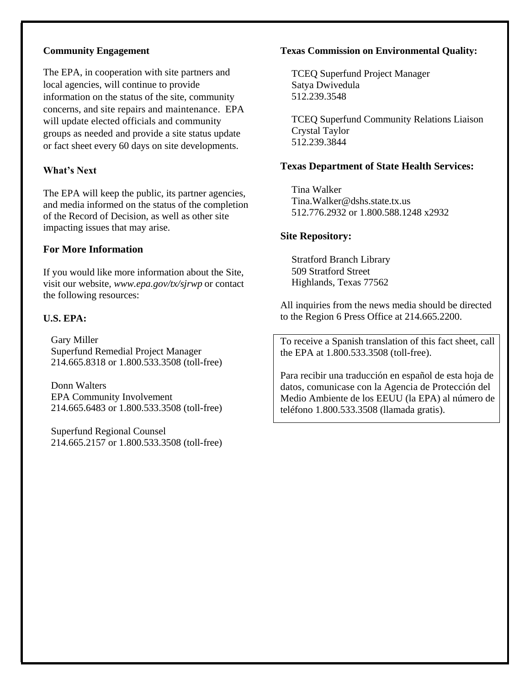#### **Community Engagement**

The EPA, in cooperation with site partners and local agencies, will continue to provide information on the status of the site, community concerns, and site repairs and maintenance. EPA will update elected officials and community groups as needed and provide a site status update or fact sheet every 60 days on site developments.

# **What's Next**

The EPA will keep the public, its partner agencies, and media informed on the status of the completion of the Record of Decision, as well as other site impacting issues that may arise.

# **For More Information**

If you would like more information about the Site, visit our website*, www.epa.gov/tx/sjrwp* or contact the following resources:

# **U.S. EPA:**

Gary Miller Superfund Remedial Project Manager 214.665.8318 or 1.800.533.3508 (toll-free)

Donn Walters EPA Community Involvement 214.665.6483 or 1.800.533.3508 (toll-free)

Superfund Regional Counsel 214.665.2157 or 1.800.533.3508 (toll-free)

#### **Texas Commission on Environmental Quality:**

TCEQ Superfund Project Manager Satya Dwivedula 512.239.3548

TCEQ Superfund Community Relations Liaison Crystal Taylor 512.239.3844

#### **Texas Department of State Health Services:**

Tina Walker [Tina.Walker@dshs.state.tx.us](mailto:Tina.Walker@dshs.state.tx.us) 512.776.2932 or 1.800.588.1248 x2932

#### **Site Repository:**

Stratford Branch Library 509 Stratford Street Highlands, Texas 77562

All inquiries from the news media should be directed to the Region 6 Press Office at 214.665.2200.

To receive a Spanish translation of this fact sheet, call the EPA at 1.800.533.3508 (toll-free).

Para recibir una traducción en español de esta hoja de datos, comunicase con la Agencia de Protección del Medio Ambiente de los EEUU (la EPA) al número de teléfono 1.800.533.3508 (llamada gratis).